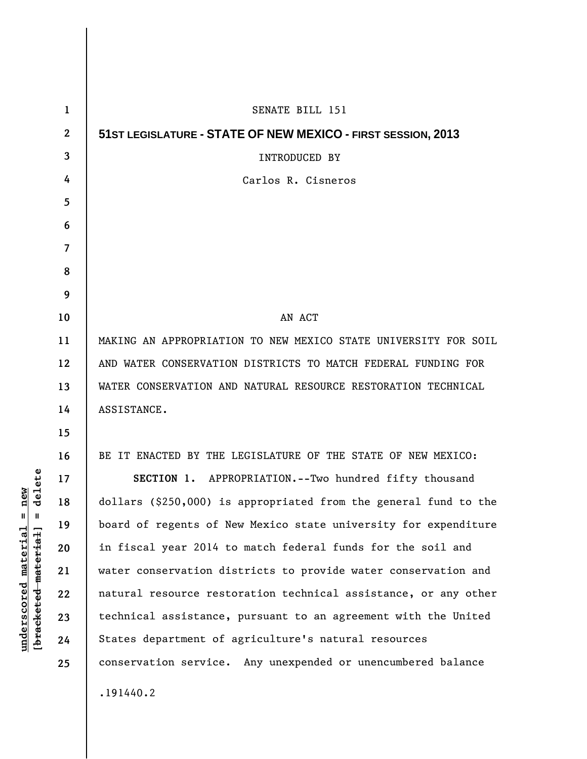| $\mathbf{1}$ | SENATE BILL 151                                                  |
|--------------|------------------------------------------------------------------|
| $\mathbf{2}$ | 51ST LEGISLATURE - STATE OF NEW MEXICO - FIRST SESSION, 2013     |
| 3            | <b>INTRODUCED BY</b>                                             |
| 4            | Carlos R. Cisneros                                               |
| 5            |                                                                  |
| 6            |                                                                  |
| 7            |                                                                  |
| 8            |                                                                  |
| 9            |                                                                  |
| 10           | AN ACT                                                           |
| 11           | MAKING AN APPROPRIATION TO NEW MEXICO STATE UNIVERSITY FOR SOIL  |
| 12           | AND WATER CONSERVATION DISTRICTS TO MATCH FEDERAL FUNDING FOR    |
| 13           | WATER CONSERVATION AND NATURAL RESOURCE RESTORATION TECHNICAL    |
| 14           | ASSISTANCE.                                                      |
| 15           |                                                                  |
| 16           | BE IT ENACTED BY THE LEGISLATURE OF THE STATE OF NEW MEXICO:     |
| 17           | SECTION 1. APPROPRIATION. -- Two hundred fifty thousand          |
| 18           | dollars (\$250,000) is appropriated from the general fund to the |
| 19           | board of regents of New Mexico state university for expenditure  |
| 20           | in fiscal year 2014 to match federal funds for the soil and      |
| 21           | water conservation districts to provide water conservation and   |
| 22           | natural resource restoration technical assistance, or any other  |
| 23           | technical assistance, pursuant to an agreement with the United   |
| 24           | States department of agriculture's natural resources             |
| 25           | conservation service. Any unexpended or unencumbered balance     |
|              | .191440.2                                                        |